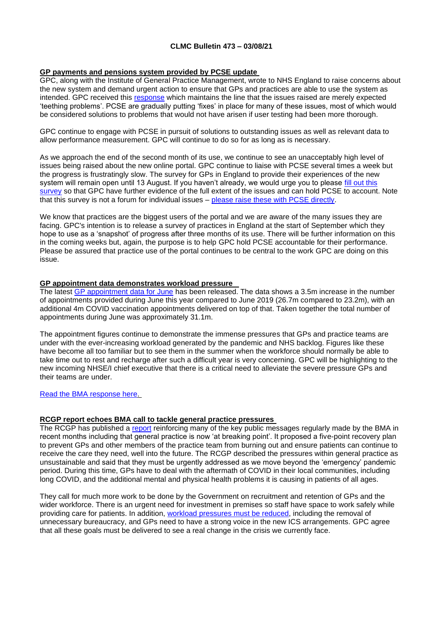## **CLMC Bulletin 473 – 03/08/21**

## **GP payments and pensions system provided by PCSE update**

GPC, along with the Institute of General Practice Management, wrote to NHS England to raise concerns about the new system and demand urgent action to ensure that GPs and practices are able to use the system as intended. GPC received this [response](https://bma-mail.org.uk/t/JVX-7GROC-JCJOU4-4IEXXN-1/c.aspx) which maintains the line that the issues raised are merely expected 'teething problems'. PCSE are gradually putting 'fixes' in place for many of these issues, most of which would be considered solutions to problems that would not have arisen if user testing had been more thorough.

GPC continue to engage with PCSE in pursuit of solutions to outstanding issues as well as relevant data to allow performance measurement. GPC will continue to do so for as long as is necessary.

As we approach the end of the second month of its use, we continue to see an unacceptably high level of issues being raised about the new online portal. GPC continue to liaise with PCSE several times a week but the progress is frustratingly slow. The survey for GPs in England to provide their experiences of the new system will remain open until 13 August. If you haven't already, we would urge you to please [fill out this](https://www.research.net/r/pensionsportalsurvey?utm_source=The%20British%20Medical%20Association&utm_medium=email&utm_campaign=12530242_FIS21Z1%20Financial%20services%3A%20Pension%20update%20All%20BoPs%20%28Members%29&utm_content=PCSE%20portal&dm_t=0,0,0,0,0) [survey](https://www.research.net/r/pensionsportalsurvey?utm_source=The%20British%20Medical%20Association&utm_medium=email&utm_campaign=12530242_FIS21Z1%20Financial%20services%3A%20Pension%20update%20All%20BoPs%20%28Members%29&utm_content=PCSE%20portal&dm_t=0,0,0,0,0) so that GPC have further evidence of the full extent of the issues and can hold PCSE to account. Note that this survey is not a forum for individual issues – [please raise these with PCSE directly.](https://pcse.england.nhs.uk/contact-us/)

We know that practices are the biggest users of the portal and we are aware of the many issues they are facing. GPC's intention is to release a survey of practices in England at the start of September which they hope to use as a 'snapshot' of progress after three months of its use. There will be further information on this in the coming weeks but, again, the purpose is to help GPC hold PCSE accountable for their performance. Please be assured that practice use of the portal continues to be central to the work GPC are doing on this issue.

### **GP appointment data demonstrates workload pressure**

The latest [GP appointment data for June](https://bma-mail.org.uk/t/JVX-7H3H8-JCJOU4-4INF5E-1/c.aspx) has been released. The data shows a 3.5m increase in the number of appointments provided during June this year compared to June 2019 (26.7m compared to 23.2m), with an additional 4m COVID vaccination appointments delivered on top of that. Taken together the total number of appointments during June was approximately 31.1m.

The appointment figures continue to demonstrate the immense pressures that GPs and practice teams are under with the ever-increasing workload generated by the pandemic and NHS backlog. Figures like these have become all too familiar but to see them in the summer when the workforce should normally be able to take time out to rest and recharge after such a difficult year is very concerning. GPC will be highlighting to the new incoming NHSE/I chief executive that there is a critical need to alleviate the severe pressure GPs and their teams are under.

## [Read the BMA response here.](https://www.bma.org.uk/bma-media-centre/bma-responds-to-gp-appointment-data-and-rcgp-action-plan?utm_source=The%20British%20Medical%20Association&utm_medium=email&utm_campaign=12554972_GP%20ENEWSLETTER%2029072021&utm_content=GP%20appointment%20data&dm_t=0,0,0,0,0)

#### **RCGP report echoes BMA call to tackle general practice pressures**

The RCGP has published a [report](https://bma-mail.org.uk/t/JVX-7H3H8-JCJOU4-4IO0J6-1/c.aspx) reinforcing many of the key public messages regularly made by the BMA in recent months including that general practice is now 'at breaking point'. It proposed a five-point recovery plan to prevent GPs and other members of the practice team from burning out and ensure patients can continue to receive the care they need, well into the future. The RCGP described the pressures within general practice as unsustainable and said that they must be urgently addressed as we move beyond the 'emergency' pandemic period. During this time, GPs have to deal with the aftermath of COVID in their local communities, including long COVID, and the additional mental and physical health problems it is causing in patients of all ages.

They call for much more work to be done by the Government on recruitment and retention of GPs and the wider workforce. There is an urgent need for investment in premises so staff have space to work safely while providing care for patients. In addition, [workload pressures must be reduced,](https://bma-mail.org.uk/t/JVX-7H3H8-JCJOU4-4IOJ0B-1/c.aspx) including the removal of unnecessary bureaucracy, and GPs need to have a strong voice in the new ICS arrangements. GPC agree that all these goals must be delivered to see a real change in the crisis we currently face.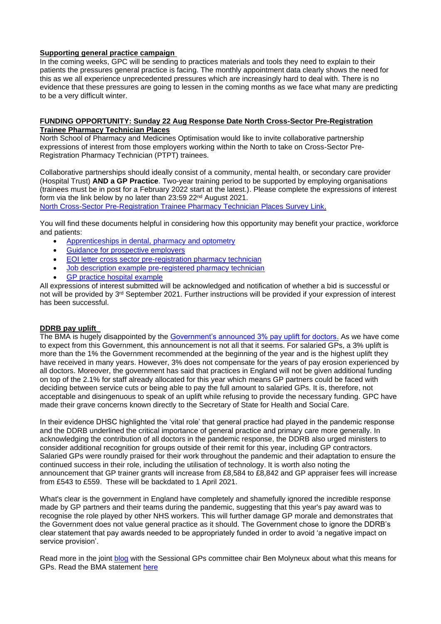## **Supporting general practice campaign**

In the coming weeks, GPC will be sending to practices materials and tools they need to explain to their patients the pressures general practice is facing. The monthly appointment data clearly shows the need for this as we all experience unprecedented pressures which are increasingly hard to deal with. There is no evidence that these pressures are going to lessen in the coming months as we face what many are predicting to be a very difficult winter.

#### **FUNDING OPPORTUNITY: Sunday 22 Aug Response Date North Cross-Sector Pre-Registration Trainee Pharmacy Technician Places**

North School of Pharmacy and Medicines Optimisation would like to invite collaborative partnership expressions of interest from those employers working within the North to take on Cross-Sector Pre-Registration Pharmacy Technician (PTPT) trainees.

Collaborative partnerships should ideally consist of a community, mental health, or secondary care provider (Hospital Trust) **AND a GP Practice**. Two-year training period to be supported by employing organisations (trainees must be in post for a February 2022 start at the latest.). Please complete the expressions of interest form via the link below by no later than 23:59 22nd August 2021.

North Cross-Sector [Pre-Registration Trainee Pharmacy Technician Places Survey Link.](https://healtheducationyh.onlinesurveys.ac.uk/ptptbid)

You will find these documents helpful in considering how this opportunity may benefit your practice, workforce and patients:

- [Apprenticeships in dental, pharmacy and optometry](https://www.clevelandlmc.org.uk/website/IGP367/files/dental.pdf)
- [Guidance for prospective employers](https://www.clevelandlmc.org.uk/website/IGP367/files/2.pdf)
- [EOI letter cross sector pre-registration pharmacy technician](https://www.clevelandlmc.org.uk/website/IGP367/files/3.pdf)
- [Job description example pre-registered pharmacy technician](https://www.clevelandlmc.org.uk/website/IGP367/files/4.pdf)
- [GP practice hospital example](https://www.clevelandlmc.org.uk/website/IGP367/files/5.docx)

All expressions of interest submitted will be acknowledged and notification of whether a bid is successful or not will be provided by 3<sup>rd</sup> September 2021. Further instructions will be provided if your expression of interest has been successful.

#### **DDRB pay uplift**

The BMA is hugely disappointed by the [Government's announced 3% pay uplift for doctors.](https://www.gov.uk/government/news/nhs-staff-to-receive-3-pay-rise) As we have come to expect from this Government, this announcement is not all that it seems. For salaried GPs, a 3% uplift is more than the 1% the Government recommended at the beginning of the year and is the highest uplift they have received in many years. However, 3% does not compensate for the years of pay erosion experienced by all doctors. Moreover, the government has said that practices in England will not be given additional funding on top of the 2.1% for staff already allocated for this year which means GP partners could be faced with deciding between service cuts or being able to pay the full amount to salaried GPs. It is, therefore, not acceptable and disingenuous to speak of an uplift while refusing to provide the necessary funding. GPC have made their grave concerns known directly to the Secretary of State for Health and Social Care.

In their evidence DHSC highlighted the 'vital role' that general practice had played in the pandemic response and the DDRB underlined the critical importance of general practice and primary care more generally. In acknowledging the contribution of all doctors in the pandemic response, the DDRB also urged ministers to consider additional recognition for groups outside of their remit for this year, including GP contractors. Salaried GPs were roundly praised for their work throughout the pandemic and their adaptation to ensure the continued success in their role, including the utilisation of technology. It is worth also noting the announcement that GP trainer grants will increase from £8,584 to £8,842 and GP appraiser fees will increase from £543 to £559. These will be backdated to 1 April 2021.

What's clear is the government in England have completely and shamefully ignored the incredible response made by GP partners and their teams during the pandemic, suggesting that this year's pay award was to recognise the role played by other NHS workers. This will further damage GP morale and demonstrates that the Government does not value general practice as it should. The Government chose to ignore the DDRB's clear statement that pay awards needed to be appropriately funded in order to avoid 'a negative impact on service provision'.

Read more in the joint [blog](https://www.bma.org.uk/news-and-opinion/pay-announcement-creates-funding-gap-for-gps) with the Sessional GPs committee chair Ben Molyneux about what this means for GPs. Read the BMA statement [here](https://www.bma.org.uk/bma-media-centre/bma-extremely-disappointed-that-pay-uplift-for-doctors-in-england-doesn-t-adequately-reward-doctors-tireless-work-and-demands-fair-uplifts)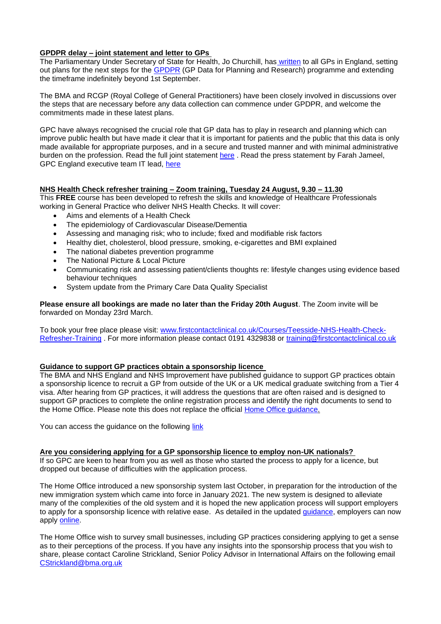# **GPDPR delay – joint statement and letter to GPs**

The Parliamentary Under Secretary of State for Health, Jo Churchill, has [written](https://digital.nhs.uk/data-and-information/data-collections-and-data-sets/data-collections/general-practice-data-for-planning-and-research/secretary-of-state-letter-to-general-practice) to all GPs in England, setting out plans for the next steps for the [GPDPR](https://digital.nhs.uk/about-nhs-digital/corporate-information-and-documents/directions-and-data-provision-notices/data-provision-notices-dpns/general-practice-data-for-planning-and-research) (GP Data for Planning and Research) programme and extending the timeframe indefinitely beyond 1st September.

The BMA and RCGP (Royal College of General Practitioners) have been closely involved in discussions over the steps that are necessary before any data collection can commence under GPDPR, and welcome the commitments made in these latest plans.

GPC have always recognised the crucial role that GP data has to play in research and planning which can improve public health but have made it clear that it is important for patients and the public that this data is only made available for appropriate purposes, and in a secure and trusted manner and with minimal administrative burden on the profession. Read the full joint statement [here](https://www.bma.org.uk/news-and-opinion/latest-statement-on-gp-data-for-planning-and-research) . Read the press statement by Farah Jameel, GPC England executive team IT lead, [here](https://www.bma.org.uk/bma-media-centre/time-for-a-comprehensive-considered-and-well-communicated-gp-data-programme-says-bma)

#### **NHS Health Check refresher training – Zoom training, Tuesday 24 August, 9.30 – 11.30**

This **FREE** course has been developed to refresh the skills and knowledge of Healthcare Professionals working in General Practice who deliver NHS Health Checks. It will cover:

- Aims and elements of a Health Check
- The epidemiology of Cardiovascular Disease/Dementia
- Assessing and managing risk; who to include; fixed and modifiable risk factors
- Healthy diet, cholesterol, blood pressure, smoking, e-cigarettes and BMI explained
- The national diabetes prevention programme
- The National Picture & Local Picture
- Communicating risk and assessing patient/clients thoughts re: lifestyle changes using evidence based behaviour techniques
- System update from the Primary Care Data Quality Specialist

**Please ensure all bookings are made no later than the Friday 20th August**. The Zoom invite will be forwarded on Monday 23rd March.

To book your free place please visit: [www.firstcontactclinical.co.uk/Courses/Teesside-NHS-Health-Check-](http://www.firstcontactclinical.co.uk/Courses/Teesside-NHS-Health-Check-Refresher-Training)[Refresher-Training](http://www.firstcontactclinical.co.uk/Courses/Teesside-NHS-Health-Check-Refresher-Training) . For more information please contact 0191 4329838 or [training@firstcontactclinical.co.uk](mailto:training@firstcontactclinical.co.uk)

#### **Guidance to support GP practices obtain a sponsorship licence**

The BMA and NHS England and NHS Improvement have published guidance to support GP practices obtain a sponsorship licence to recruit a GP from outside of the UK or a UK medical graduate switching from a Tier 4 visa. After hearing from GP practices, it will address the questions that are often raised and is designed to support GP practices to complete the online registration process and identify the right documents to send to the Home Office. Please note this does not replace the official [Home Office guidance.](https://www.gov.uk/government/collections/sponsorship-information-for-employers-and-educators)

You can access the guidance on the following [link](https://www.bma.org.uk/media/4350/bma-visa-sponsorship-for-gps-practices-july-2021.pdf)

#### **Are you considering applying for a GP sponsorship licence to employ non-UK nationals?**

If so GPC are keen to hear from you as well as those who started the process to apply for a licence, but dropped out because of difficulties with the application process.

The Home Office introduced a new sponsorship system last October, in preparation for the introduction of the new immigration system which came into force in January 2021. The new system is designed to alleviate many of the complexities of the old system and it is hoped the new application process will support employers to apply for a sponsorship licence with relative ease. As detailed in the updated [guidance,](https://www.gov.uk/government/collections/sponsorship-information-for-employers-and-educators) employers can now apply [online.](https://www.gov.uk/uk-visa-sponsorship-employers)

The Home Office wish to survey small businesses, including GP practices considering applying to get a sense as to their perceptions of the process. If you have any insights into the sponsorship process that you wish to share, please contact Caroline Strickland, Senior Policy Advisor in International Affairs on the following email [CStrickland@bma.org.uk](mailto:CStrickland@bma.org.uk)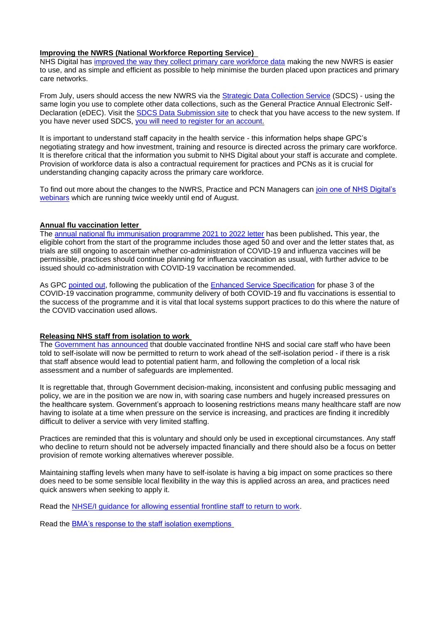### **Improving the NWRS (National Workforce Reporting Service)**

NHS Digital has [improved the way they collect primary care workforce data](https://digital.nhs.uk/data-and-information/areas-of-interest/workforce/national-workforce-reporting-system-nwrs-workforce-census-module/the-new-national-workforce-reporting-service) making the new NWRS is easier to use, and as simple and efficient as possible to help minimise the burden placed upon practices and primary care networks.

From July, users should access the new NWRS via the [Strategic Data Collection Service](https://datacollection.sdcs.digital.nhs.uk/) (SDCS) - using the same login you use to complete other data collections, such as the General Practice Annual Electronic Self-Declaration (eDEC). Visit the [SDCS Data Submission site](https://datacollection.sdcs.digital.nhs.uk/) to check that you have access to the new system. If you have never used SDCS, [you will need to register for an account.](https://datacollection.sdcs.digital.nhs.uk/)

It is important to understand staff capacity in the health service - this information helps shape GPC's negotiating strategy and how investment, training and resource is directed across the primary care workforce. It is therefore critical that the information you submit to NHS Digital about your staff is accurate and complete. Provision of workforce data is also a contractual requirement for practices and PCNs as it is crucial for understanding changing capacity across the primary care workforce.

To find out more about the changes to the NWRS, Practice and PCN Managers can [join one of NHS Digital's](https://elinkeu.clickdimensions.com/c/6/?T=NTgyNTUzNzk%3AcDEtYjIxMTQ4LTE5MGM3NmVkY2IyNjQ4OGNiMzBmNzgwNjRmYmNhN2Rl%3AcmFjaGVsLmNhcnJpbmd0b25AbmhzLm5ldA%3AbGVhZC05MzUwZGVjOWJjYmZlYjExODIzNTAwMjI0ODFhNmUyMS00N2JhOTBlNTg1Y2E0MmQxYTQwNzc3M2RkNjZhYmFlMw%3AZmFsc2U%3AMQ%3A%3AaHR0cHM6Ly9kaWdpdGFsLm5ocy51ay9kYXRhLWFuZC1pbmZvcm1hdGlvbi9hcmVhcy1vZi1pbnRlcmVzdC93b3JrZm9yY2UvbmF0aW9uYWwtd29ya2ZvcmNlLXJlcG9ydGluZy1zeXN0ZW0tbndycy13b3JrZm9yY2UtY2Vuc3VzLW1vZHVsZS93ZWJpbmFycz9fY2xkZWU9Y21GamFHVnNMbU5oY25KcGJtZDBiMjVBYm1oekxtNWxkQSUzZCUzZCZyZWNpcGllbnRpZD1sZWFkLTkzNTBkZWM5YmNiZmViMTE4MjM1MDAyMjQ4MWE2ZTIxLTQ3YmE5MGU1ODVjYTQyZDFhNDA3NzczZGQ2NmFiYWUzJmVzaWQ9YTMwZTYyMTQtZGNiZS1lYjExLWJhY2MtMDAyMjQ4MWE5YTRm&K=UXigbmVjo99CrIl8Ujh4qg)  [webinars](https://elinkeu.clickdimensions.com/c/6/?T=NTgyNTUzNzk%3AcDEtYjIxMTQ4LTE5MGM3NmVkY2IyNjQ4OGNiMzBmNzgwNjRmYmNhN2Rl%3AcmFjaGVsLmNhcnJpbmd0b25AbmhzLm5ldA%3AbGVhZC05MzUwZGVjOWJjYmZlYjExODIzNTAwMjI0ODFhNmUyMS00N2JhOTBlNTg1Y2E0MmQxYTQwNzc3M2RkNjZhYmFlMw%3AZmFsc2U%3AMQ%3A%3AaHR0cHM6Ly9kaWdpdGFsLm5ocy51ay9kYXRhLWFuZC1pbmZvcm1hdGlvbi9hcmVhcy1vZi1pbnRlcmVzdC93b3JrZm9yY2UvbmF0aW9uYWwtd29ya2ZvcmNlLXJlcG9ydGluZy1zeXN0ZW0tbndycy13b3JrZm9yY2UtY2Vuc3VzLW1vZHVsZS93ZWJpbmFycz9fY2xkZWU9Y21GamFHVnNMbU5oY25KcGJtZDBiMjVBYm1oekxtNWxkQSUzZCUzZCZyZWNpcGllbnRpZD1sZWFkLTkzNTBkZWM5YmNiZmViMTE4MjM1MDAyMjQ4MWE2ZTIxLTQ3YmE5MGU1ODVjYTQyZDFhNDA3NzczZGQ2NmFiYWUzJmVzaWQ9YTMwZTYyMTQtZGNiZS1lYjExLWJhY2MtMDAyMjQ4MWE5YTRm&K=UXigbmVjo99CrIl8Ujh4qg) which are running twice weekly until end of August.

# **Annual flu vaccination letter**

The [annual national flu immunisation programme 2021 to 2022 letter](https://bma-mail.org.uk/t/JVX-7GROC-JCJOU4-4IE6RZ-1/c.aspx) has been published**.** This year, the eligible cohort from the start of the programme includes those aged 50 and over and the letter states that, as trials are still ongoing to ascertain whether co-administration of COVID-19 and influenza vaccines will be permissible, practices should continue planning for influenza vaccination as usual, with further advice to be issued should co-administration with COVID-19 vaccination be recommended.

As GPC [pointed out,](https://www.bma.org.uk/bma-media-centre/covid-booster-es-specifications-will-do-nothing-to-regain-confidence-among-gps-in-england) following the publication of the [Enhanced Service Specification](https://www.england.nhs.uk/coronavirus/publication/enhanced-service-specification-phase-3-coronavirus-vaccination/) for phase 3 of the COVID-19 vaccination programme, community delivery of both COVID-19 and flu vaccinations is essential to the success of the programme and it is vital that local systems support practices to do this where the nature of the COVID vaccination used allows.

#### **Releasing NHS staff from isolation to work**

The [Government has announced](https://www.gov.uk/government/news/frontline-health-and-care-staff-can-work-rather-than-self-isolate) that double vaccinated frontline NHS and social care staff who have been told to self-isolate will now be permitted to return to work ahead of the self-isolation period - if there is a risk that staff absence would lead to potential patient harm, and following the completion of a local risk assessment and a number of safeguards are implemented.

It is regrettable that, through Government decision-making, inconsistent and confusing public messaging and policy, we are in the position we are now in, with soaring case numbers and hugely increased pressures on the healthcare system. Government's approach to loosening restrictions means many healthcare staff are now having to isolate at a time when pressure on the service is increasing, and practices are finding it incredibly difficult to deliver a service with very limited staffing.

Practices are reminded that this is voluntary and should only be used in exceptional circumstances. Any staff who decline to return should not be adversely impacted financially and there should also be a focus on better provision of remote working alternatives wherever possible.

Maintaining staffing levels when many have to self-isolate is having a big impact on some practices so there does need to be some sensible local flexibility in the way this is applied across an area, and practices need quick answers when seeking to apply it.

Read the [NHSE/I guidance for allowing essential frontline staff to return to work.](https://www.england.nhs.uk/coronavirus/publication/letter-on-staff-isolation-approach-following-updated-government-guidance/)

Read the [BMA's response to the staff isolation exemptions](https://www.bma.org.uk/bma-media-centre/staff-isolation-exemptions-are-absolutely-the-wrong-answer-to-the-government-s-failure-to-control-spiralling-infection-rates-says-bma)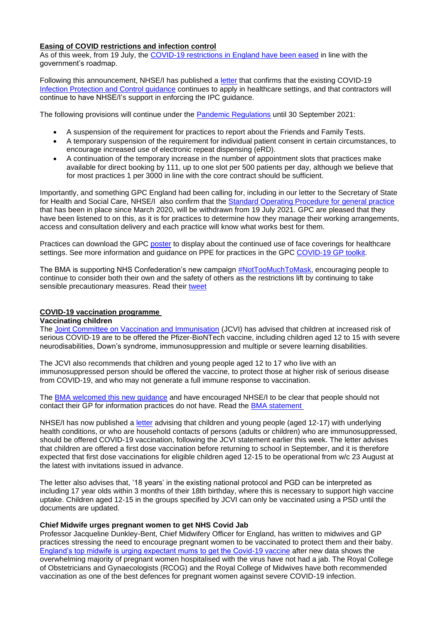### **Easing of COVID restrictions and infection control**

As of this week, from 19 July, the [COVID-19 restrictions in England have been eased](https://www.gov.uk/government/news/prime-minister-urges-caution-as-england-moves-to-step-4) in line with the government's roadmap.

Following this announcement, NHSE/I has published a [letter](https://www.england.nhs.uk/coronavirus/wp-content/uploads/sites/52/2020/03/B0783_Primary-Care-letter_190721-002.pdf) that confirms that the existing COVID-19 [Infection Protection and Control guidance](https://www.gov.uk/government/publications/wuhan-novel-coronavirus-infection-prevention-and-control) continues to apply in healthcare settings, and that contractors will continue to have NHSE/I's support in enforcing the IPC guidance.

The following provisions will continue under the [Pandemic Regulations](https://www.legislation.gov.uk/uksi/2020/351/made) until 30 September 2021:

- A suspension of the requirement for practices to report about the Friends and Family Tests.
- A temporary suspension of the requirement for individual patient consent in certain circumstances, to encourage increased use of electronic repeat dispensing (eRD).
- A continuation of the temporary increase in the number of appointment slots that practices make available for direct booking by 111, up to one slot per 500 patients per day, although we believe that for most practices 1 per 3000 in line with the core contract should be sufficient.

Importantly, and something GPC England had been calling for, including in our letter to the Secretary of State for Health and Social Care, NHSE/I also confirm that the [Standard Operating Procedure for general practice](https://www.england.nhs.uk/coronavirus/wp-content/uploads/sites/52/2020/03/B0497-GP-access-letter-May-2021-FINAL.pdf) that has been in place since March 2020, will be withdrawn from 19 July 2021. GPC are pleased that they have been listened to on this, as it is for practices to determine how they manage their working arrangements, access and consultation delivery and each practice will know what works best for them.

Practices can download the GPC [poster](https://www.bma.org.uk/media/4334/bma-covid-gp-practice-face-mask-social-distance-poster-july-2021.pdf) to display about the continued use of face coverings for healthcare settings. See more information and guidance on PPE for practices in the GPC [COVID-19 GP toolkit.](https://www.bma.org.uk/advice-and-support/covid-19/gp-practices/covid-19-toolkit-for-gps-and-gp-practices/reducing-covid-19-transmission-and-ppe)

The BMA is supporting NHS Confederation's new campaign **#NotTooMuchToMask**, encouraging people to continue to consider both their own and the safety of others as the restrictions lift by continuing to take sensible precautionary measures. Read their [tweet](https://twitter.com/TheBMA/status/1417084314064408578)

# **COVID-19 vaccination programme**

# **Vaccinating children**

The [Joint Committee on Vaccination and Immunisation](https://www.gov.uk/government/news/jcvi-issues-advice-on-covid-19-vaccination-of-children-and-young-people) (JCVI) has advised that children at increased risk of serious COVID-19 are to be offered the Pfizer-BioNTech vaccine, including children aged 12 to 15 with severe neurodisabilities, Down's syndrome, immunosuppression and multiple or severe learning disabilities.

The JCVI also recommends that children and young people aged 12 to 17 who live with an immunosuppressed person should be offered the vaccine, to protect those at higher risk of serious disease from COVID-19, and who may not generate a full immune response to vaccination.

The [BMA welcomed this new guidance](https://www.bma.org.uk/bma-media-centre/bma-responds-to-jcvi-announcement-on-the-vaccination-of-vulnerable-young-people) and have encouraged NHSE/I to be clear that people should not contact their GP for information practices do not have. Read the [BMA statement](https://www.bma.org.uk/bma-media-centre/bma-responds-to-jcvi-announcement-on-the-vaccination-of-vulnerable-young-people)

NHSE/I has now published a [letter](https://www.england.nhs.uk/coronavirus/publication/next-steps-following-updated-jcvi-guidance-in-relation-to-covid-19-vaccinations-for-children-and-young-people/) advising that children and young people (aged 12-17) with underlying health conditions, or who are household contacts of persons (adults or children) who are immunosuppressed, should be offered COVID-19 vaccination, following the JCVI statement earlier this week. The letter advises that children are offered a first dose vaccination before returning to school in September, and it is therefore expected that first dose vaccinations for eligible children aged 12-15 to be operational from w/c 23 August at the latest with invitations issued in advance.

The letter also advises that, '18 years' in the existing national protocol and PGD can be interpreted as including 17 year olds within 3 months of their 18th birthday, where this is necessary to support high vaccine uptake. Children aged 12-15 in the groups specified by JCVI can only be vaccinated using a PSD until the documents are updated.

# **Chief Midwife urges pregnant women to get NHS Covid Jab**

Professor Jacqueline Dunkley-Bent, Chief Midwifery Officer for England, has written to midwives and GP practices stressing the need to encourage pregnant women to be vaccinated to protect them and their baby. [England's top midwife is urging expectant mums to get the Covid-19 vaccine](https://www.england.nhs.uk/2021/07/chief-midwife-urges-pregnant-women-to-get-nhs-covid-jab/) after new data shows the overwhelming majority of pregnant women hospitalised with the virus have not had a jab. The Royal College of Obstetricians and Gynaecologists (RCOG) and the Royal College of Midwives have both recommended vaccination as one of the best defences for pregnant women against severe COVID-19 infection.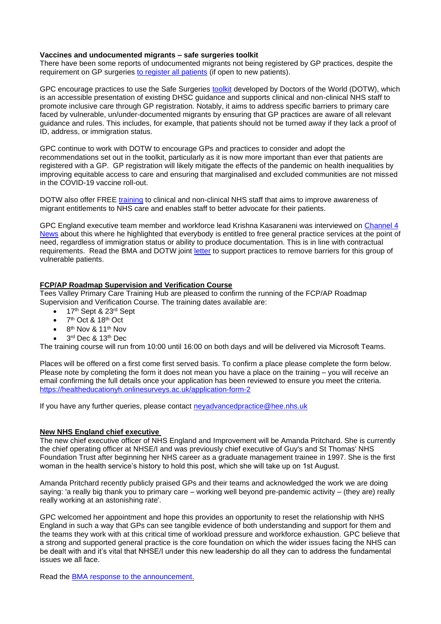## **Vaccines and undocumented migrants – safe surgeries toolkit**

There have been some reports of undocumented migrants not being registered by GP practices, despite the requirement on GP surgeries [to register all patients](https://www.nhs.uk/nhs-services/gps/how-to-register-with-a-gp-surgery/) (if open to new patients).

GPC encourage practices to use the Safe Surgeries [toolkit](https://www.doctorsoftheworld.org.uk/wp-content/uploads/2020/09/Safe-surgeries-toolkit-2020.pdf) developed by Doctors of the World (DOTW), which is an accessible presentation of existing DHSC guidance and supports clinical and non-clinical NHS staff to promote inclusive care through GP registration. Notably, it aims to address specific barriers to primary care faced by vulnerable, un/under-documented migrants by ensuring that GP practices are aware of all relevant guidance and rules. This includes, for example, that patients should not be turned away if they lack a proof of ID, address, or immigration status.

GPC continue to work with DOTW to encourage GPs and practices to consider and adopt the recommendations set out in the toolkit, particularly as it is now more important than ever that patients are registered with a GP. GP registration will likely mitigate the effects of the pandemic on health inequalities by improving equitable access to care and ensuring that marginalised and excluded communities are not missed in the COVID-19 vaccine roll-out.

DOTW also offer FREE [training](https://www.doctorsoftheworld.org.uk/what-we-stand-for/supporting-medics/training/) to clinical and non-clinical NHS staff that aims to improve awareness of migrant entitlements to NHS care and enables staff to better advocate for their patients.

GPC England executive team member and workforce lead Krishna Kasaraneni was interviewed on [Channel 4](https://www.channel4.com/news/barriers-preventing-undocumented-migrants-from-accessing-covid-vaccines-should-be-removed-gp-says)  [News](https://www.channel4.com/news/barriers-preventing-undocumented-migrants-from-accessing-covid-vaccines-should-be-removed-gp-says) about this where he highlighted that everybody is entitled to free general practice services at the point of need, regardless of immigration status or ability to produce documentation. This is in line with contractual requirements. Read the BMA and DOTW joint [letter](https://i.emlfiles4.com/cmpdoc/3/7/7/5/2/files/798588_bma-safe-surgeries-letter.pdf?utm_source=The%20British%20Medical%20Association&utm_medium=email&utm_campaign=12539676_GP%20ENEWSLETTER%2022072021&dm_t=0,0,0,0,0) to support practices to remove barriers for this group of vulnerable patients.

### **FCP/AP Roadmap Supervision and Verification Course**

Tees Valley Primary Care Training Hub are pleased to confirm the running of the FCP/AP Roadmap Supervision and Verification Course. The training dates available are:

- 17<sup>th</sup> Sept & 23<sup>rd</sup> Sept
- $\bullet$  7<sup>th</sup> Oct & 18<sup>th</sup> Oct
- $\bullet$  8<sup>th</sup> Nov & 11<sup>th</sup> Nov
- 3<sup>rd</sup> Dec & 13<sup>th</sup> Dec

The training course will run from 10:00 until 16:00 on both days and will be delivered via Microsoft Teams.

Places will be offered on a first come first served basis. To confirm a place please complete the form below. Please note by completing the form it does not mean you have a place on the training – you will receive an email confirming the full details once your application has been reviewed to ensure you meet the criteria. <https://healtheducationyh.onlinesurveys.ac.uk/application-form-2>

If you have any further queries, please contact [neyadvancedpractice@hee.nhs.uk](mailto:neyadvancedpractice@hee.nhs.uk)

## **New NHS England chief executive**

The new chief executive officer of NHS England and Improvement will be Amanda Pritchard. She is currently the chief operating officer at NHSE/I and was previously chief executive of Guy's and St Thomas' NHS Foundation Trust after beginning her NHS career as a graduate management trainee in 1997. She is the first woman in the health service's history to hold this post, which she will take up on 1st August.

Amanda Pritchard recently publicly praised GPs and their teams and acknowledged the work we are doing saying: 'a really big thank you to primary care – working well beyond pre-pandemic activity – (they are) really really working at an astonishing rate'.

GPC welcomed her appointment and hope this provides an opportunity to reset the relationship with NHS England in such a way that GPs can see tangible evidence of both understanding and support for them and the teams they work with at this critical time of workload pressure and workforce exhaustion. GPC believe that a strong and supported general practice is the core foundation on which the wider issues facing the NHS can be dealt with and it's vital that NHSE/I under this new leadership do all they can to address the fundamental issues we all face.

Read the [BMA response to the announcement.](https://www.bma.org.uk/bma-media-centre/bma-asks-new-head-of-nhs-england-to-prioritise-the-workforce-crisis)